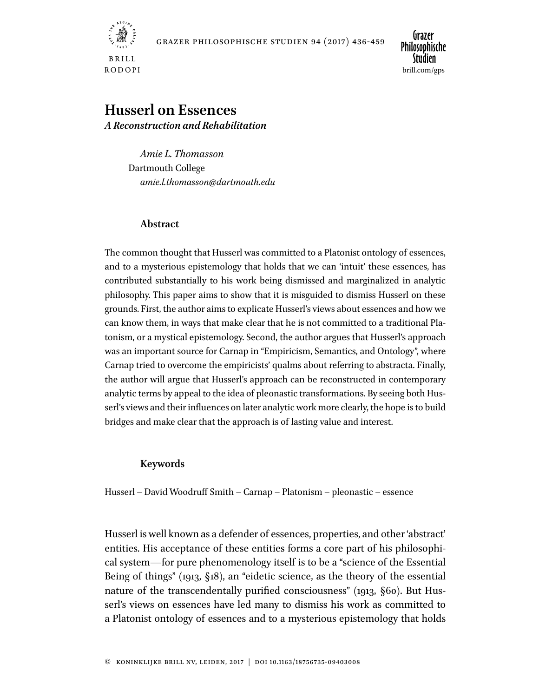



# **Husserl on Essences** *A Reconstruction and Rehabilitation*

*Amie L. Thomasson* Dartmouth College *amie.l.thomasson@dartmouth.edu*

## **Abstract**

The common thought that Husserl was committed to a Platonist ontology of essences, and to a mysterious epistemology that holds that we can 'intuit' these essences, has contributed substantially to his work being dismissed and marginalized in analytic philosophy. This paper aims to show that it is misguided to dismiss Husserl on these grounds. First, the author aims to explicate Husserl's views about essences and how we can know them, in ways that make clear that he is not committed to a traditional Platonism, or a mystical epistemology. Second, the author argues that Husserl's approach was an important source for Carnap in "Empiricism, Semantics, and Ontology", where Carnap tried to overcome the empiricists' qualms about referring to abstracta. Finally, the author will argue that Husserl's approach can be reconstructed in contemporary analytic terms by appeal to the idea of pleonastic transformations. By seeing both Husserl's views and their influences on later analytic work more clearly, the hope is to build bridges and make clear that the approach is of lasting value and interest.

## **Keywords**

Husserl – David Woodruff Smith – Carnap – Platonism – pleonastic – essence

Husserl is well known as a defender of essences, properties, and other 'abstract' entities. His acceptance of these entities forms a core part of his philosophical system—for pure phenomenology itself is to be a "science of the Essential Being of things" (1913, §18), an "eidetic science, as the theory of the essential nature of the transcendentally purified consciousness" (1913, §60). But Husserl's views on essences have led many to dismiss his work as committed to a Platonist ontology of essences and to a mysterious epistemology that holds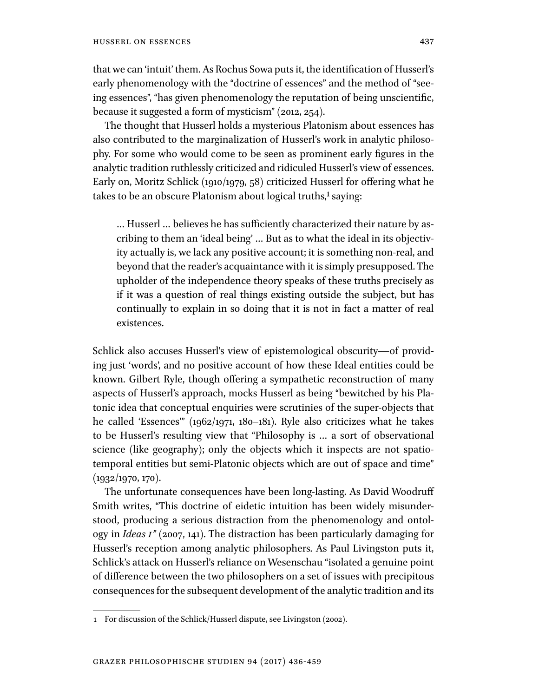that we can 'intuit' them. As Rochus Sowa puts it, the identification of Husserl's early phenomenology with the "doctrine of essences" and the method of "seeing essences", "has given phenomenology the reputation of being unscientific, because it suggested a form of mysticism" (2012, 254).

The thought that Husserl holds a mysterious Platonism about essences has also contributed to the marginalization of Husserl's work in analytic philosophy. For some who would come to be seen as prominent early figures in the analytic tradition ruthlessly criticized and ridiculed Husserl's view of essences. Early on, Moritz Schlick (1910/1979, 58) criticized Husserl for offering what he takes to be an obscure Platonism about logical truths,<sup>1</sup> saying:

… Husserl … believes he has sufficiently characterized their nature by ascribing to them an 'ideal being' … But as to what the ideal in its objectivity actually is, we lack any positive account; it is something non-real, and beyond that the reader's acquaintance with it is simply presupposed. The upholder of the independence theory speaks of these truths precisely as if it was a question of real things existing outside the subject, but has continually to explain in so doing that it is not in fact a matter of real existences.

Schlick also accuses Husserl's view of epistemological obscurity—of providing just 'words', and no positive account of how these Ideal entities could be known. Gilbert Ryle, though offering a sympathetic reconstruction of many aspects of Husserl's approach, mocks Husserl as being "bewitched by his Platonic idea that conceptual enquiries were scrutinies of the super-objects that he called 'Essences'" (1962/1971, 180–181). Ryle also criticizes what he takes to be Husserl's resulting view that "Philosophy is … a sort of observational science (like geography); only the objects which it inspects are not spatiotemporal entities but semi-Platonic objects which are out of space and time"  $(1932/1970, 170)$ .

The unfortunate consequences have been long-lasting. As David Woodruff Smith writes, "This doctrine of eidetic intuition has been widely misunderstood, producing a serious distraction from the phenomenology and ontology in *Ideas i"* (2007, 141). The distraction has been particularly damaging for Husserl's reception among analytic philosophers. As Paul Livingston puts it, Schlick's attack on Husserl's reliance on Wesenschau "isolated a genuine point of difference between the two philosophers on a set of issues with precipitous consequences for the subsequent development of the analytic tradition and its

<sup>1</sup> For discussion of the Schlick/Husserl dispute, see Livingston (2002).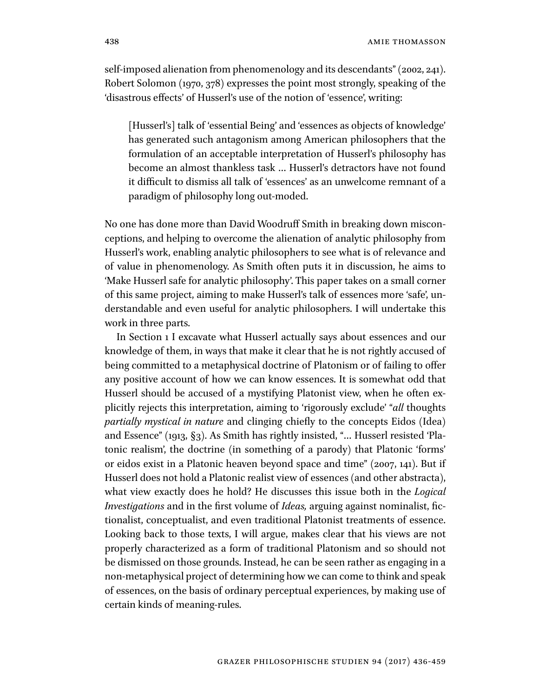self-imposed alienation from phenomenology and its descendants" (2002, 241). Robert Solomon (1970, 378) expresses the point most strongly, speaking of the 'disastrous effects' of Husserl's use of the notion of 'essence', writing:

[Husserl's] talk of 'essential Being' and 'essences as objects of knowledge' has generated such antagonism among American philosophers that the formulation of an acceptable interpretation of Husserl's philosophy has become an almost thankless task … Husserl's detractors have not found it difficult to dismiss all talk of 'essences' as an unwelcome remnant of a paradigm of philosophy long out-moded.

No one has done more than David Woodruff Smith in breaking down misconceptions, and helping to overcome the alienation of analytic philosophy from Husserl's work, enabling analytic philosophers to see what is of relevance and of value in phenomenology. As Smith often puts it in discussion, he aims to 'Make Husserl safe for analytic philosophy'. This paper takes on a small corner of this same project, aiming to make Husserl's talk of essences more 'safe', understandable and even useful for analytic philosophers. I will undertake this work in three parts.

In Section 1 I excavate what Husserl actually says about essences and our knowledge of them, in ways that make it clear that he is not rightly accused of being committed to a metaphysical doctrine of Platonism or of failing to offer any positive account of how we can know essences. It is somewhat odd that Husserl should be accused of a mystifying Platonist view, when he often explicitly rejects this interpretation, aiming to 'rigorously exclude' "*all* thoughts *partially mystical in nature* and clinging chiefly to the concepts Eidos (Idea) and Essence" (1913, §3). As Smith has rightly insisted, "… Husserl resisted 'Platonic realism', the doctrine (in something of a parody) that Platonic 'forms' or eidos exist in a Platonic heaven beyond space and time" (2007, 141). But if Husserl does not hold a Platonic realist view of essences (and other abstracta), what view exactly does he hold? He discusses this issue both in the *Logical Investigations* and in the first volume of *Ideas,* arguing against nominalist, fictionalist, conceptualist, and even traditional Platonist treatments of essence. Looking back to those texts, I will argue, makes clear that his views are not properly characterized as a form of traditional Platonism and so should not be dismissed on those grounds. Instead, he can be seen rather as engaging in a non-metaphysical project of determining how we can come to think and speak of essences, on the basis of ordinary perceptual experiences, by making use of certain kinds of meaning-rules.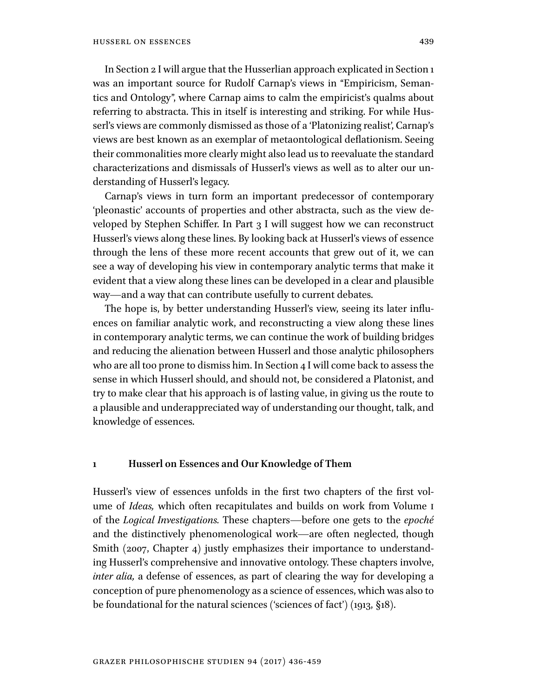In Section 2 I will argue that the Husserlian approach explicated in Section 1 was an important source for Rudolf Carnap's views in "Empiricism, Semantics and Ontology", where Carnap aims to calm the empiricist's qualms about referring to abstracta. This in itself is interesting and striking. For while Husserl's views are commonly dismissed as those of a 'Platonizing realist', Carnap's views are best known as an exemplar of metaontological deflationism. Seeing their commonalities more clearly might also lead us to reevaluate the standard characterizations and dismissals of Husserl's views as well as to alter our understanding of Husserl's legacy.

Carnap's views in turn form an important predecessor of contemporary 'pleonastic' accounts of properties and other abstracta, such as the view developed by Stephen Schiffer. In Part 3 I will suggest how we can reconstruct Husserl's views along these lines. By looking back at Husserl's views of essence through the lens of these more recent accounts that grew out of it, we can see a way of developing his view in contemporary analytic terms that make it evident that a view along these lines can be developed in a clear and plausible way—and a way that can contribute usefully to current debates.

The hope is, by better understanding Husserl's view, seeing its later influences on familiar analytic work, and reconstructing a view along these lines in contemporary analytic terms, we can continue the work of building bridges and reducing the alienation between Husserl and those analytic philosophers who are all too prone to dismiss him. In Section 4 I will come back to assess the sense in which Husserl should, and should not, be considered a Platonist, and try to make clear that his approach is of lasting value, in giving us the route to a plausible and underappreciated way of understanding our thought, talk, and knowledge of essences.

#### **1 Husserl on Essences and Our Knowledge of Them**

Husserl's view of essences unfolds in the first two chapters of the first volume of *Ideas,* which often recapitulates and builds on work from Volume i of the *Logical Investigations.* These chapters—before one gets to the *epoché* and the distinctively phenomenological work—are often neglected, though Smith (2007, Chapter 4) justly emphasizes their importance to understanding Husserl's comprehensive and innovative ontology. These chapters involve, *inter alia,* a defense of essences, as part of clearing the way for developing a conception of pure phenomenology as a science of essences, which was also to be foundational for the natural sciences ('sciences of fact') (1913, §18).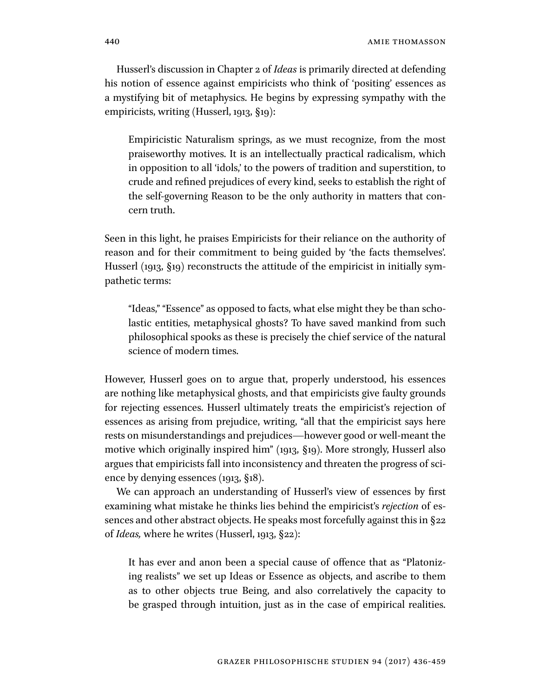Husserl's discussion in Chapter 2 of *Ideas* is primarily directed at defending his notion of essence against empiricists who think of 'positing' essences as a mystifying bit of metaphysics. He begins by expressing sympathy with the empiricists, writing (Husserl, 1913, §19):

Empiricistic Naturalism springs, as we must recognize, from the most praiseworthy motives. It is an intellectually practical radicalism, which in opposition to all 'idols,' to the powers of tradition and superstition, to crude and refined prejudices of every kind, seeks to establish the right of the self-governing Reason to be the only authority in matters that concern truth.

Seen in this light, he praises Empiricists for their reliance on the authority of reason and for their commitment to being guided by 'the facts themselves'. Husserl (1913, §19) reconstructs the attitude of the empiricist in initially sympathetic terms:

"Ideas," "Essence" as opposed to facts, what else might they be than scholastic entities, metaphysical ghosts? To have saved mankind from such philosophical spooks as these is precisely the chief service of the natural science of modern times.

However, Husserl goes on to argue that, properly understood, his essences are nothing like metaphysical ghosts, and that empiricists give faulty grounds for rejecting essences. Husserl ultimately treats the empiricist's rejection of essences as arising from prejudice, writing, "all that the empiricist says here rests on misunderstandings and prejudices—however good or well-meant the motive which originally inspired him" (1913, §19). More strongly, Husserl also argues that empiricists fall into inconsistency and threaten the progress of science by denying essences (1913, §18).

We can approach an understanding of Husserl's view of essences by first examining what mistake he thinks lies behind the empiricist's *rejection* of essences and other abstract objects. He speaks most forcefully against this in §22 of *Ideas,* where he writes (Husserl, 1913, §22):

It has ever and anon been a special cause of offence that as "Platonizing realists" we set up Ideas or Essence as objects, and ascribe to them as to other objects true Being, and also correlatively the capacity to be grasped through intuition, just as in the case of empirical realities.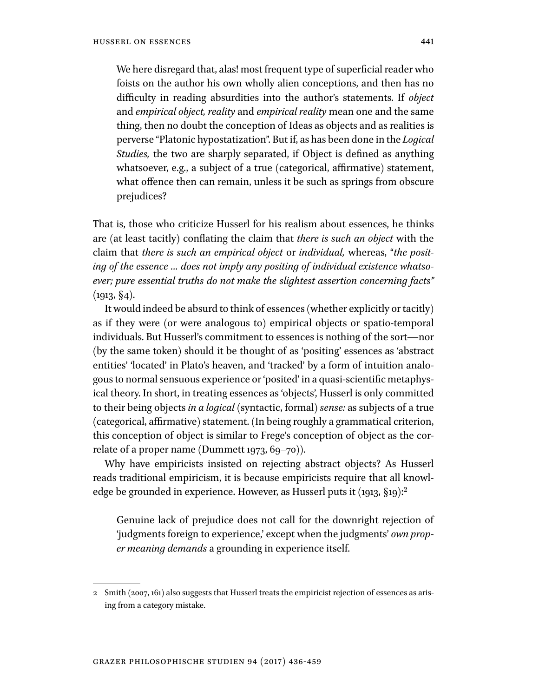We here disregard that, alas! most frequent type of superficial reader who foists on the author his own wholly alien conceptions, and then has no difficulty in reading absurdities into the author's statements. If *object* and *empirical object, reality* and *empirical reality* mean one and the same thing, then no doubt the conception of Ideas as objects and as realities is perverse "Platonic hypostatization". But if, as has been done in the *Logical Studies,* the two are sharply separated, if Object is defined as anything whatsoever, e.g., a subject of a true (categorical, affirmative) statement, what offence then can remain, unless it be such as springs from obscure prejudices?

That is, those who criticize Husserl for his realism about essences, he thinks are (at least tacitly) conflating the claim that *there is such an object* with the claim that *there is such an empirical object* or *individual,* whereas, "*the positing of the essence … does not imply any positing of individual existence whatsoever; pure essential truths do not make the slightest assertion concerning facts"*  $(1913, $4)$ .

It would indeed be absurd to think of essences (whether explicitly or tacitly) as if they were (or were analogous to) empirical objects or spatio-temporal individuals. But Husserl's commitment to essences is nothing of the sort—nor (by the same token) should it be thought of as 'positing' essences as 'abstract entities' 'located' in Plato's heaven, and 'tracked' by a form of intuition analogous to normal sensuous experience or 'posited' in a quasi-scientific metaphysical theory. In short, in treating essences as 'objects', Husserl is only committed to their being objects *in a logical* (syntactic, formal) *sense:* as subjects of a true (categorical, affirmative) statement. (In being roughly a grammatical criterion, this conception of object is similar to Frege's conception of object as the correlate of a proper name (Dummett 1973, 69–70)).

Why have empiricists insisted on rejecting abstract objects? As Husserl reads traditional empiricism, it is because empiricists require that all knowledge be grounded in experience. However, as Husserl puts it (1913, §19):2

Genuine lack of prejudice does not call for the downright rejection of 'judgments foreign to experience,' except when the judgments' *own proper meaning demands* a grounding in experience itself.

<sup>2</sup> Smith (2007, 161) also suggests that Husserl treats the empiricist rejection of essences as arising from a category mistake.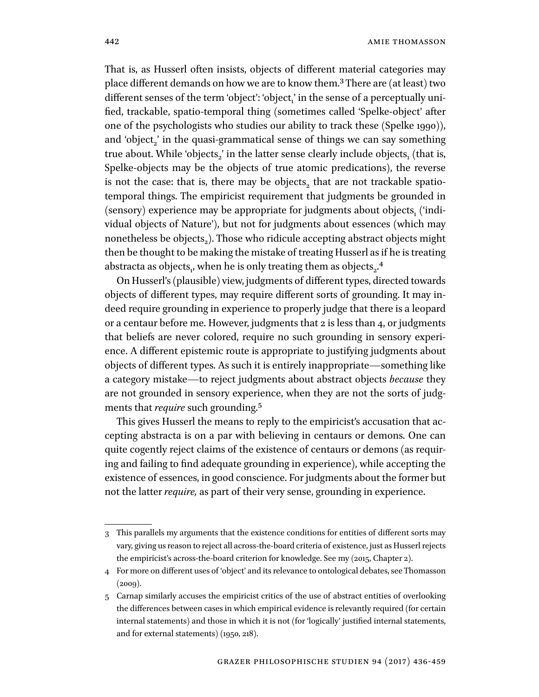That is, as Husserl often insists, objects of different material categories may place different demands on how we are to know them.3 There are (at least) two different senses of the term 'object': 'object<sub>i</sub>' in the sense of a perceptually unified, trackable, spatio-temporal thing (sometimes called 'Spelke-object' after one of the psychologists who studies our ability to track these (Spelke 1990)), and 'object<sub>2</sub>' in the quasi-grammatical sense of things we can say something true about. While 'objects $_2$ ' in the latter sense clearly include objects, (that is, Spelke-objects may be the objects of true atomic predications), the reverse is not the case: that is, there may be objects<sub>2</sub> that are not trackable spatiotemporal things. The empiricist requirement that judgments be grounded in (sensory) experience may be appropriate for judgments about objects, ('individual objects of Nature'), but not for judgments about essences (which may nonetheless be objects<sub>2</sub>). Those who ridicule accepting abstract objects might then be thought to be making the mistake of treating Husserl as if he is treating abstracta as objects<sub>1</sub>, when he is only treating them as objects<sub>2</sub>.4  $\,$ 

On Husserl's (plausible) view, judgments of different types, directed towards objects of different types, may require different sorts of grounding. It may indeed require grounding in experience to properly judge that there is a leopard or a centaur before me. However, judgments that 2 is less than 4, or judgments that beliefs are never colored, require no such grounding in sensory experience. A different epistemic route is appropriate to justifying judgments about objects of different types. As such it is entirely inappropriate—something like a category mistake—to reject judgments about abstract objects *because* they are not grounded in sensory experience, when they are not the sorts of judgments that *require* such grounding.5

This gives Husserl the means to reply to the empiricist's accusation that accepting abstracta is on a par with believing in centaurs or demons. One can quite cogently reject claims of the existence of centaurs or demons (as requiring and failing to find adequate grounding in experience), while accepting the existence of essences, in good conscience. For judgments about the former but not the latter *require,* as part of their very sense, grounding in experience.

<sup>3</sup> This parallels my arguments that the existence conditions for entities of different sorts may vary, giving us reason to reject all across-the-board criteria of existence, just as Husserl rejects the empiricist's across-the-board criterion for knowledge. See my (2015, Chapter 2).

<sup>4</sup> For more on different uses of 'object' and its relevance to ontological debates, see Thomasson  $(2009).$ 

<sup>5</sup> Carnap similarly accuses the empiricist critics of the use of abstract entities of overlooking the differences between cases in which empirical evidence is relevantly required (for certain internal statements) and those in which it is not (for 'logically' justified internal statements, and for external statements) (1950, 218).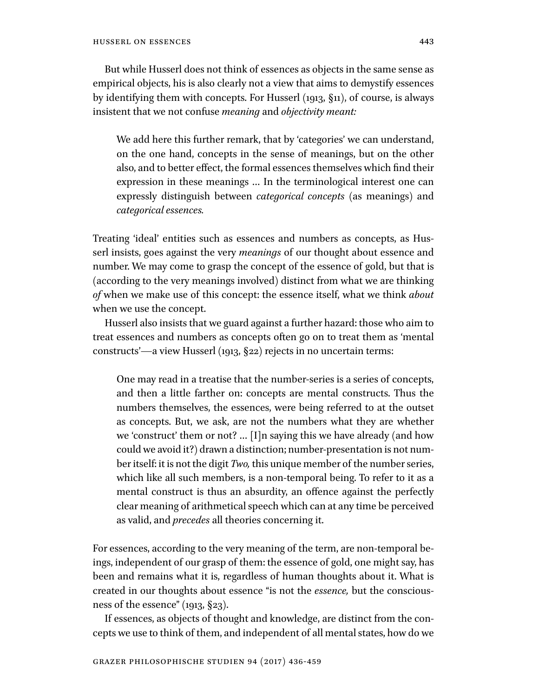But while Husserl does not think of essences as objects in the same sense as empirical objects, his is also clearly not a view that aims to demystify essences by identifying them with concepts. For Husserl (1913, §11), of course, is always insistent that we not confuse *meaning* and *objectivity meant:*

We add here this further remark, that by 'categories' we can understand, on the one hand, concepts in the sense of meanings, but on the other also, and to better effect, the formal essences themselves which find their expression in these meanings … In the terminological interest one can expressly distinguish between *categorical concepts* (as meanings) and *categorical essences.*

Treating 'ideal' entities such as essences and numbers as concepts, as Husserl insists, goes against the very *meanings* of our thought about essence and number. We may come to grasp the concept of the essence of gold, but that is (according to the very meanings involved) distinct from what we are thinking *of* when we make use of this concept: the essence itself, what we think *about* when we use the concept.

Husserl also insists that we guard against a further hazard: those who aim to treat essences and numbers as concepts often go on to treat them as 'mental constructs'—a view Husserl (1913, §22) rejects in no uncertain terms:

One may read in a treatise that the number-series is a series of concepts, and then a little farther on: concepts are mental constructs. Thus the numbers themselves, the essences, were being referred to at the outset as concepts. But, we ask, are not the numbers what they are whether we 'construct' them or not? … [I]n saying this we have already (and how could we avoid it?) drawn a distinction; number-presentation is not number itself: it is not the digit *Two,* this unique member of the number series, which like all such members, is a non-temporal being. To refer to it as a mental construct is thus an absurdity, an offence against the perfectly clear meaning of arithmetical speech which can at any time be perceived as valid, and *precedes* all theories concerning it.

For essences, according to the very meaning of the term, are non-temporal beings, independent of our grasp of them: the essence of gold, one might say, has been and remains what it is, regardless of human thoughts about it. What is created in our thoughts about essence "is not the *essence,* but the consciousness of the essence" (1913, §23).

If essences, as objects of thought and knowledge, are distinct from the concepts we use to think of them, and independent of all mental states, how do we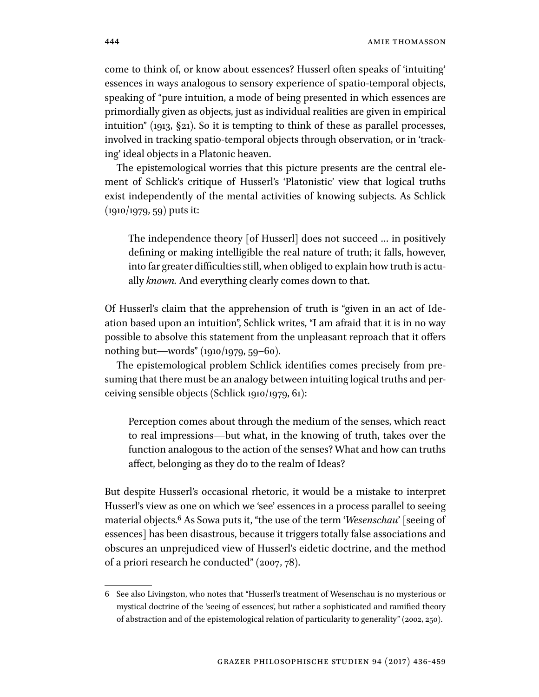come to think of, or know about essences? Husserl often speaks of 'intuiting' essences in ways analogous to sensory experience of spatio-temporal objects, speaking of "pure intuition, a mode of being presented in which essences are primordially given as objects, just as individual realities are given in empirical intuition" (1913, §21). So it is tempting to think of these as parallel processes, involved in tracking spatio-temporal objects through observation, or in 'tracking' ideal objects in a Platonic heaven.

The epistemological worries that this picture presents are the central element of Schlick's critique of Husserl's 'Platonistic' view that logical truths exist independently of the mental activities of knowing subjects. As Schlick (1910/1979, 59) puts it:

The independence theory [of Husserl] does not succeed … in positively defining or making intelligible the real nature of truth; it falls, however, into far greater difficulties still, when obliged to explain how truth is actually *known.* And everything clearly comes down to that.

Of Husserl's claim that the apprehension of truth is "given in an act of Ideation based upon an intuition", Schlick writes, "I am afraid that it is in no way possible to absolve this statement from the unpleasant reproach that it offers nothing but—words" (1910/1979, 59–60).

The epistemological problem Schlick identifies comes precisely from presuming that there must be an analogy between intuiting logical truths and perceiving sensible objects (Schlick 1910/1979, 61):

Perception comes about through the medium of the senses, which react to real impressions—but what, in the knowing of truth, takes over the function analogous to the action of the senses? What and how can truths affect, belonging as they do to the realm of Ideas?

But despite Husserl's occasional rhetoric, it would be a mistake to interpret Husserl's view as one on which we 'see' essences in a process parallel to seeing material objects.6 As Sowa puts it, "the use of the term '*Wesenschau*' [seeing of essences] has been disastrous, because it triggers totally false associations and obscures an unprejudiced view of Husserl's eidetic doctrine, and the method of a priori research he conducted" (2007, 78).

<sup>6</sup> See also Livingston, who notes that "Husserl's treatment of Wesenschau is no mysterious or mystical doctrine of the 'seeing of essences', but rather a sophisticated and ramified theory of abstraction and of the epistemological relation of particularity to generality" (2002, 250).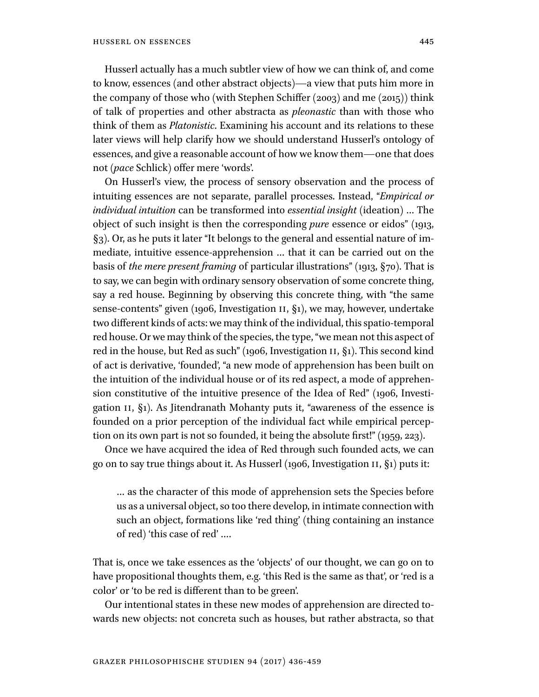Husserl actually has a much subtler view of how we can think of, and come to know, essences (and other abstract objects)—a view that puts him more in the company of those who (with Stephen Schiffer (2003) and me (2015)) think of talk of properties and other abstracta as *pleonastic* than with those who think of them as *Platonistic*. Examining his account and its relations to these later views will help clarify how we should understand Husserl's ontology of essences, and give a reasonable account of how we know them—one that does not (*pace* Schlick) offer mere 'words'.

On Husserl's view, the process of sensory observation and the process of intuiting essences are not separate, parallel processes. Instead, "*Empirical or individual intuition* can be transformed into *essential insight* (ideation) … The object of such insight is then the corresponding *pure* essence or eidos" (1913, §3). Or, as he puts it later "It belongs to the general and essential nature of immediate, intuitive essence-apprehension … that it can be carried out on the basis of *the mere present framing* of particular illustrations" (1913, §70). That is to say, we can begin with ordinary sensory observation of some concrete thing, say a red house. Beginning by observing this concrete thing, with "the same sense-contents" given (1906, Investigation II, §1), we may, however, undertake two different kinds of acts: we may think of the individual, this spatio-temporal red house. Or we may think of the species, the type, "we mean not this aspect of red in the house, but Red as such" (1906, Investigation  $II$ ,  $\S$ 1). This second kind of act is derivative, 'founded', "a new mode of apprehension has been built on the intuition of the individual house or of its red aspect, a mode of apprehension constitutive of the intuitive presence of the Idea of Red" (1906, Investigation II,  $\S_1$ ). As Jitendranath Mohanty puts it, "awareness of the essence is founded on a prior perception of the individual fact while empirical perception on its own part is not so founded, it being the absolute first!" (1959, 223).

Once we have acquired the idea of Red through such founded acts, we can go on to say true things about it. As Husserl (1906, Investigation ii, §1) puts it:

… as the character of this mode of apprehension sets the Species before us as a universal object, so too there develop, in intimate connection with such an object, formations like 'red thing' (thing containing an instance of red) 'this case of red' ….

That is, once we take essences as the 'objects' of our thought, we can go on to have propositional thoughts them, e.g. 'this Red is the same as that', or 'red is a color' or 'to be red is different than to be green'.

Our intentional states in these new modes of apprehension are directed towards new objects: not concreta such as houses, but rather abstracta, so that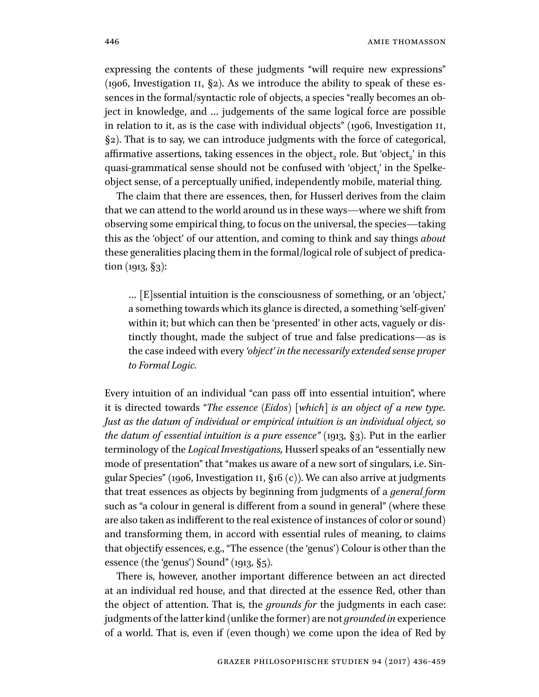expressing the contents of these judgments "will require new expressions" (1906, Investigation II,  $\S$ 2). As we introduce the ability to speak of these essences in the formal/syntactic role of objects, a species "really becomes an object in knowledge, and … judgements of the same logical force are possible in relation to it, as is the case with individual objects" (1906, Investigation ii, §2). That is to say, we can introduce judgments with the force of categorical, affirmative assertions, taking essences in the object<sub>2</sub> role. But 'object<sub>2</sub>' in this quasi-grammatical sense should not be confused with 'object $_{\rm i}$ ' in the Spelkeobject sense, of a perceptually unified, independently mobile, material thing.

The claim that there are essences, then, for Husserl derives from the claim that we can attend to the world around us in these ways—where we shift from observing some empirical thing, to focus on the universal, the species—taking this as the 'object' of our attention, and coming to think and say things *about* these generalities placing them in the formal/logical role of subject of predication (1913, §3):

… [E]ssential intuition is the consciousness of something, or an 'object,' a something towards which its glance is directed, a something 'self-given' within it; but which can then be 'presented' in other acts, vaguely or distinctly thought, made the subject of true and false predications—as is the case indeed with every *'object' in the necessarily extended sense proper to Formal Logic.*

Every intuition of an individual "can pass off into essential intuition", where it is directed towards "*The essence (Eidos) [which] is an object of a new type. Just as the datum of individual or empirical intuition is an individual object, so the datum of essential intuition is a pure essence"* (1913, §3). Put in the earlier terminology of the *Logical Investigations,* Husserl speaks of an "essentially new mode of presentation" that "makes us aware of a new sort of singulars, i.e. Singular Species" (1906, Investigation II,  $\S$ 16 (c)). We can also arrive at judgments that treat essences as objects by beginning from judgments of a *general form* such as "a colour in general is different from a sound in general" (where these are also taken as indifferent to the real existence of instances of color or sound) and transforming them, in accord with essential rules of meaning, to claims that objectify essences, e.g., "The essence (the 'genus') Colour is other than the essence (the 'genus') Sound" (1913, §5).

There is, however, another important difference between an act directed at an individual red house, and that directed at the essence Red, other than the object of attention. That is, the *grounds for* the judgments in each case: judgments of the latter kind (unlike the former) are not *grounded in* experience of a world. That is, even if (even though) we come upon the idea of Red by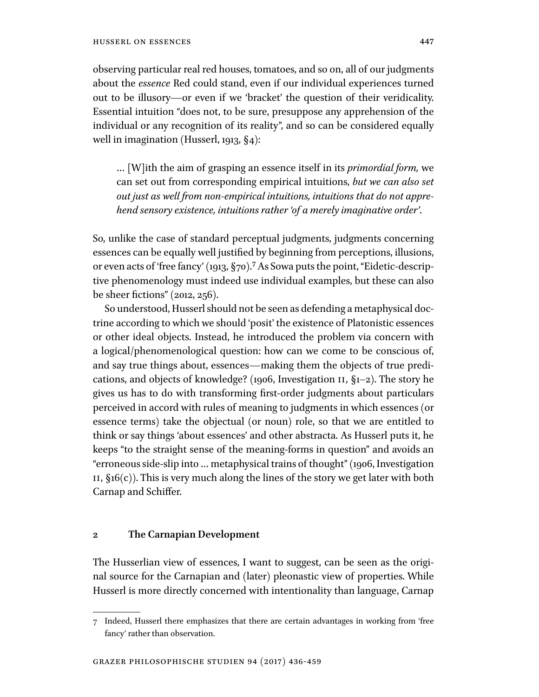observing particular real red houses, tomatoes, and so on, all of our judgments about the *essence* Red could stand, even if our individual experiences turned out to be illusory—or even if we 'bracket' the question of their veridicality. Essential intuition "does not, to be sure, presuppose any apprehension of the individual or any recognition of its reality", and so can be considered equally well in imagination (Husserl, 1913, §4):

… [W]ith the aim of grasping an essence itself in its *primordial form,* we can set out from corresponding empirical intuitions, *but we can also set out just as well from non-empirical intuitions, intuitions that do not apprehend sensory existence, intuitions rather 'of a merely imaginative order'*.

So, unlike the case of standard perceptual judgments, judgments concerning essences can be equally well justified by beginning from perceptions, illusions, or even acts of 'free fancy' (1913, §70).7 As Sowa puts the point, "Eidetic-descriptive phenomenology must indeed use individual examples, but these can also be sheer fictions" (2012, 256).

So understood, Husserl should not be seen as defending a metaphysical doctrine according to which we should 'posit' the existence of Platonistic essences or other ideal objects. Instead, he introduced the problem via concern with a logical/phenomenological question: how can we come to be conscious of, and say true things about, essences—making them the objects of true predications, and objects of knowledge? (1906, Investigation  $II$ ,  $\S_1$ –2). The story he gives us has to do with transforming first-order judgments about particulars perceived in accord with rules of meaning to judgments in which essences (or essence terms) take the objectual (or noun) role, so that we are entitled to think or say things 'about essences' and other abstracta. As Husserl puts it, he keeps "to the straight sense of the meaning-forms in question" and avoids an "erroneous side-slip into … metaphysical trains of thought" (1906, Investigation II,  $\S_16(c)$ ). This is very much along the lines of the story we get later with both Carnap and Schiffer.

#### **2 The Carnapian Development**

The Husserlian view of essences, I want to suggest, can be seen as the original source for the Carnapian and (later) pleonastic view of properties. While Husserl is more directly concerned with intentionality than language, Carnap

<sup>7</sup> Indeed, Husserl there emphasizes that there are certain advantages in working from 'free fancy' rather than observation.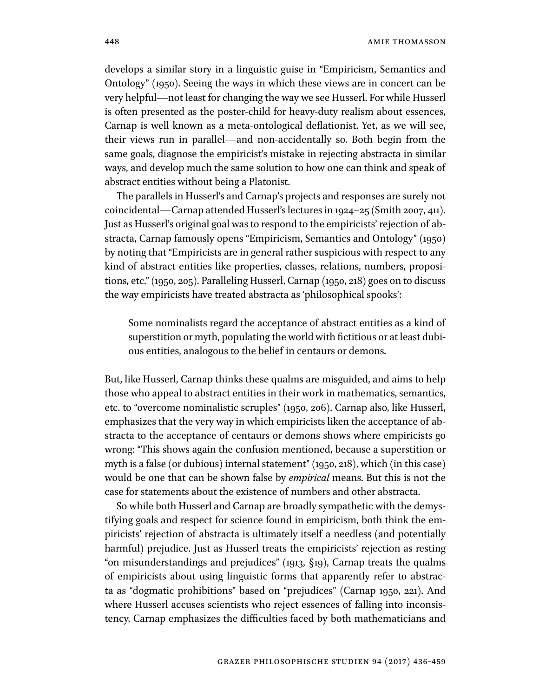develops a similar story in a linguistic guise in "Empiricism, Semantics and Ontology" (1950). Seeing the ways in which these views are in concert can be very helpful—not least for changing the way we see Husserl. For while Husserl is often presented as the poster-child for heavy-duty realism about essences, Carnap is well known as a meta-ontological deflationist. Yet, as we will see, their views run in parallel—and non-accidentally so. Both begin from the same goals, diagnose the empiricist's mistake in rejecting abstracta in similar ways, and develop much the same solution to how one can think and speak of abstract entities without being a Platonist.

The parallels in Husserl's and Carnap's projects and responses are surely not coincidental—Carnap attended Husserl's lectures in 1924–25 (Smith 2007, 411). Just as Husserl's original goal was to respond to the empiricists' rejection of abstracta, Carnap famously opens "Empiricism, Semantics and Ontology" (1950) by noting that "Empiricists are in general rather suspicious with respect to any kind of abstract entities like properties, classes, relations, numbers, propositions, etc." (1950, 205). Paralleling Husserl, Carnap (1950, 218) goes on to discuss the way empiricists have treated abstracta as 'philosophical spooks':

Some nominalists regard the acceptance of abstract entities as a kind of superstition or myth, populating the world with fictitious or at least dubious entities, analogous to the belief in centaurs or demons.

But, like Husserl, Carnap thinks these qualms are misguided, and aims to help those who appeal to abstract entities in their work in mathematics, semantics, etc. to "overcome nominalistic scruples" (1950, 206). Carnap also, like Husserl, emphasizes that the very way in which empiricists liken the acceptance of abstracta to the acceptance of centaurs or demons shows where empiricists go wrong: "This shows again the confusion mentioned, because a superstition or myth is a false (or dubious) internal statement" (1950, 218), which (in this case) would be one that can be shown false by *empirical* means. But this is not the case for statements about the existence of numbers and other abstracta.

So while both Husserl and Carnap are broadly sympathetic with the demystifying goals and respect for science found in empiricism, both think the empiricists' rejection of abstracta is ultimately itself a needless (and potentially harmful) prejudice. Just as Husserl treats the empiricists' rejection as resting "on misunderstandings and prejudices" (1913, §19), Carnap treats the qualms of empiricists about using linguistic forms that apparently refer to abstracta as "dogmatic prohibitions" based on "prejudices" (Carnap 1950, 221). And where Husserl accuses scientists who reject essences of falling into inconsistency, Carnap emphasizes the difficulties faced by both mathematicians and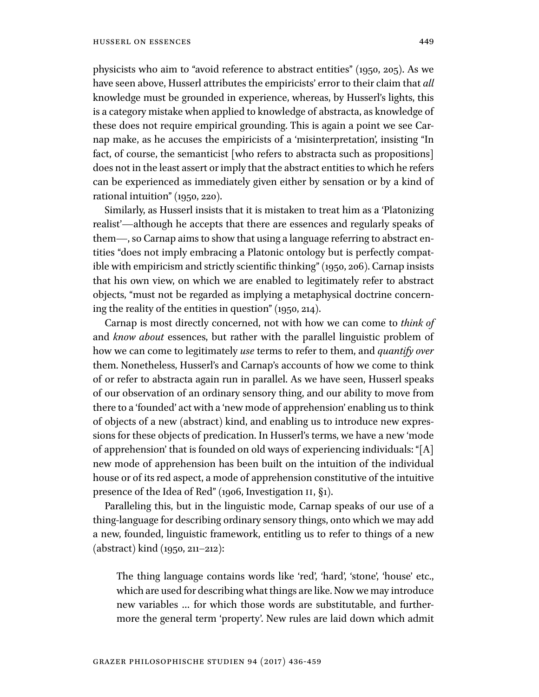physicists who aim to "avoid reference to abstract entities" (1950, 205). As we have seen above, Husserl attributes the empiricists' error to their claim that *all* knowledge must be grounded in experience, whereas, by Husserl's lights, this is a category mistake when applied to knowledge of abstracta, as knowledge of these does not require empirical grounding. This is again a point we see Carnap make, as he accuses the empiricists of a 'misinterpretation', insisting "In fact, of course, the semanticist [who refers to abstracta such as propositions] does not in the least assert or imply that the abstract entities to which he refers can be experienced as immediately given either by sensation or by a kind of rational intuition" (1950, 220).

Similarly, as Husserl insists that it is mistaken to treat him as a 'Platonizing realist'—although he accepts that there are essences and regularly speaks of them—, so Carnap aims to show that using a language referring to abstract entities "does not imply embracing a Platonic ontology but is perfectly compatible with empiricism and strictly scientific thinking" (1950, 206). Carnap insists that his own view, on which we are enabled to legitimately refer to abstract objects, "must not be regarded as implying a metaphysical doctrine concerning the reality of the entities in question" (1950, 214).

Carnap is most directly concerned, not with how we can come to *think of* and *know about* essences, but rather with the parallel linguistic problem of how we can come to legitimately *use* terms to refer to them, and *quantify over* them. Nonetheless, Husserl's and Carnap's accounts of how we come to think of or refer to abstracta again run in parallel. As we have seen, Husserl speaks of our observation of an ordinary sensory thing, and our ability to move from there to a 'founded' act with a 'new mode of apprehension' enabling us to think of objects of a new (abstract) kind, and enabling us to introduce new expressions for these objects of predication. In Husserl's terms, we have a new 'mode of apprehension' that is founded on old ways of experiencing individuals: "[A] new mode of apprehension has been built on the intuition of the individual house or of its red aspect, a mode of apprehension constitutive of the intuitive presence of the Idea of Red" (1906, Investigation II, §1).

Paralleling this, but in the linguistic mode, Carnap speaks of our use of a thing-language for describing ordinary sensory things, onto which we may add a new, founded, linguistic framework, entitling us to refer to things of a new (abstract) kind (1950, 211–212):

The thing language contains words like 'red', 'hard', 'stone', 'house' etc., which are used for describing what things are like. Now we may introduce new variables … for which those words are substitutable, and furthermore the general term 'property'. New rules are laid down which admit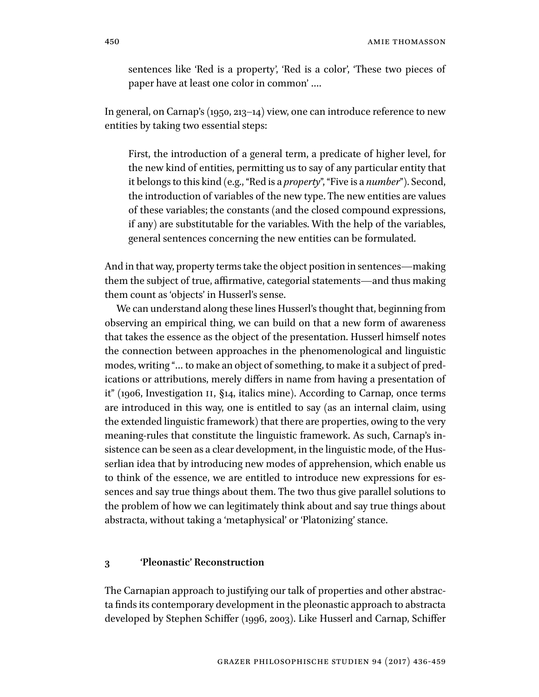sentences like 'Red is a property', 'Red is a color', 'These two pieces of paper have at least one color in common' ….

In general, on Carnap's (1950, 213–14) view, one can introduce reference to new entities by taking two essential steps:

First, the introduction of a general term, a predicate of higher level, for the new kind of entities, permitting us to say of any particular entity that it belongs to this kind (e.g., "Red is a *property*", "Five is a *number*"). Second, the introduction of variables of the new type. The new entities are values of these variables; the constants (and the closed compound expressions, if any) are substitutable for the variables. With the help of the variables, general sentences concerning the new entities can be formulated.

And in that way, property terms take the object position in sentences—making them the subject of true, affirmative, categorial statements—and thus making them count as 'objects' in Husserl's sense.

We can understand along these lines Husserl's thought that, beginning from observing an empirical thing, we can build on that a new form of awareness that takes the essence as the object of the presentation. Husserl himself notes the connection between approaches in the phenomenological and linguistic modes, writing "… to make an object of something, to make it a subject of predications or attributions, merely differs in name from having a presentation of it" (1906, Investigation II,  $\S$ 14, italics mine). According to Carnap, once terms are introduced in this way, one is entitled to say (as an internal claim, using the extended linguistic framework) that there are properties, owing to the very meaning-rules that constitute the linguistic framework. As such, Carnap's insistence can be seen as a clear development, in the linguistic mode, of the Husserlian idea that by introducing new modes of apprehension, which enable us to think of the essence, we are entitled to introduce new expressions for essences and say true things about them. The two thus give parallel solutions to the problem of how we can legitimately think about and say true things about abstracta, without taking a 'metaphysical' or 'Platonizing' stance.

### **3 'Pleonastic' Reconstruction**

The Carnapian approach to justifying our talk of properties and other abstracta finds its contemporary development in the pleonastic approach to abstracta developed by Stephen Schiffer (1996, 2003). Like Husserl and Carnap, Schiffer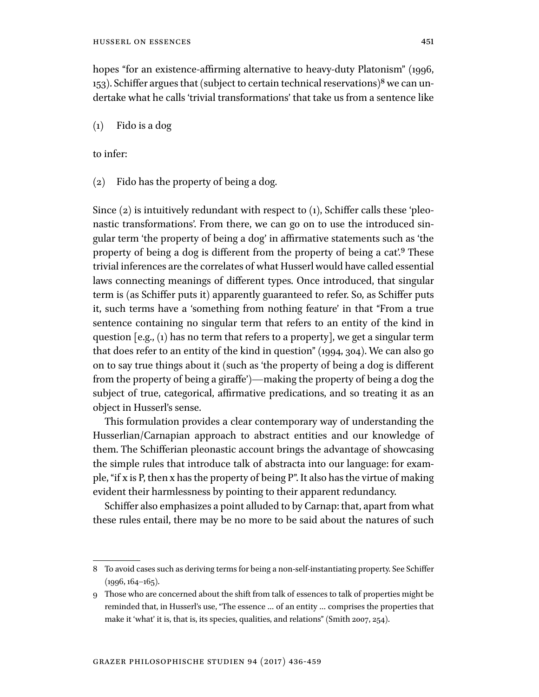hopes "for an existence-affirming alternative to heavy-duty Platonism" (1996, 153). Schiffer argues that (subject to certain technical reservations)<sup>8</sup> we can undertake what he calls 'trivial transformations' that take us from a sentence like

#### (1) Fido is a dog

to infer:

(2) Fido has the property of being a dog.

Since  $(z)$  is intuitively redundant with respect to  $(1)$ , Schiffer calls these 'pleonastic transformations'. From there, we can go on to use the introduced singular term 'the property of being a dog' in affirmative statements such as 'the property of being a dog is different from the property of being a cat'.<sup>9</sup> These trivial inferences are the correlates of what Husserl would have called essential laws connecting meanings of different types. Once introduced, that singular term is (as Schiffer puts it) apparently guaranteed to refer. So, as Schiffer puts it, such terms have a 'something from nothing feature' in that "From a true sentence containing no singular term that refers to an entity of the kind in question [e.g., (1) has no term that refers to a property], we get a singular term that does refer to an entity of the kind in question" (1994, 304). We can also go on to say true things about it (such as 'the property of being a dog is different from the property of being a giraffe')—making the property of being a dog the subject of true, categorical, affirmative predications, and so treating it as an object in Husserl's sense.

This formulation provides a clear contemporary way of understanding the Husserlian/Carnapian approach to abstract entities and our knowledge of them. The Schifferian pleonastic account brings the advantage of showcasing the simple rules that introduce talk of abstracta into our language: for example, "if x is P, then x has the property of being P". It also has the virtue of making evident their harmlessness by pointing to their apparent redundancy.

Schiffer also emphasizes a point alluded to by Carnap: that, apart from what these rules entail, there may be no more to be said about the natures of such

<sup>8</sup> To avoid cases such as deriving terms for being a non-self-instantiating property. See Schiffer  $(1996, 164-165)$ .

<sup>9</sup> Those who are concerned about the shift from talk of essences to talk of properties might be reminded that, in Husserl's use, "The essence … of an entity … comprises the properties that make it 'what' it is, that is, its species, qualities, and relations" (Smith 2007, 254).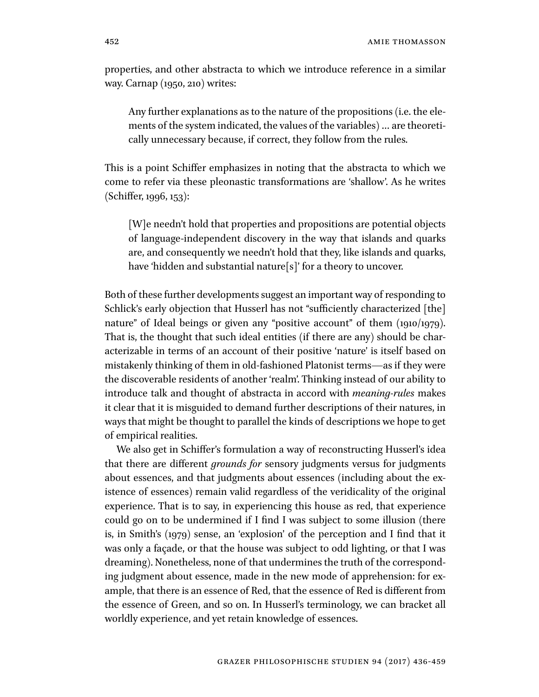properties, and other abstracta to which we introduce reference in a similar way. Carnap (1950, 210) writes:

Any further explanations as to the nature of the propositions (i.e. the elements of the system indicated, the values of the variables) … are theoretically unnecessary because, if correct, they follow from the rules.

This is a point Schiffer emphasizes in noting that the abstracta to which we come to refer via these pleonastic transformations are 'shallow'. As he writes (Schiffer, 1996, 153):

[W]e needn't hold that properties and propositions are potential objects of language-independent discovery in the way that islands and quarks are, and consequently we needn't hold that they, like islands and quarks, have 'hidden and substantial nature[s]' for a theory to uncover.

Both of these further developments suggest an important way of responding to Schlick's early objection that Husserl has not "sufficiently characterized [the] nature" of Ideal beings or given any "positive account" of them (1910/1979). That is, the thought that such ideal entities (if there are any) should be characterizable in terms of an account of their positive 'nature' is itself based on mistakenly thinking of them in old-fashioned Platonist terms—as if they were the discoverable residents of another 'realm'. Thinking instead of our ability to introduce talk and thought of abstracta in accord with *meaning-rules* makes it clear that it is misguided to demand further descriptions of their natures, in ways that might be thought to parallel the kinds of descriptions we hope to get of empirical realities.

We also get in Schiffer's formulation a way of reconstructing Husserl's idea that there are different *grounds for* sensory judgments versus for judgments about essences, and that judgments about essences (including about the existence of essences) remain valid regardless of the veridicality of the original experience. That is to say, in experiencing this house as red, that experience could go on to be undermined if I find I was subject to some illusion (there is, in Smith's (1979) sense, an 'explosion' of the perception and I find that it was only a façade, or that the house was subject to odd lighting, or that I was dreaming). Nonetheless, none of that undermines the truth of the corresponding judgment about essence, made in the new mode of apprehension: for example, that there is an essence of Red, that the essence of Red is different from the essence of Green, and so on. In Husserl's terminology, we can bracket all worldly experience, and yet retain knowledge of essences.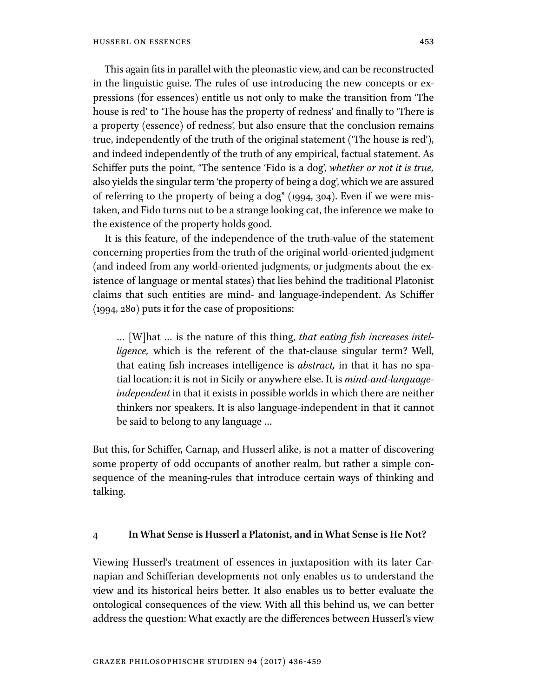This again fits in parallel with the pleonastic view, and can be reconstructed in the linguistic guise. The rules of use introducing the new concepts or expressions (for essences) entitle us not only to make the transition from 'The house is red' to 'The house has the property of redness' and finally to 'There is a property (essence) of redness', but also ensure that the conclusion remains true, independently of the truth of the original statement ('The house is red'), and indeed independently of the truth of any empirical, factual statement. As Schiffer puts the point, "The sentence 'Fido is a dog', *whether or not it is true,* also yields the singular term 'the property of being a dog', which we are assured of referring to the property of being a dog" (1994, 304). Even if we were mistaken, and Fido turns out to be a strange looking cat, the inference we make to the existence of the property holds good.

It is this feature, of the independence of the truth-value of the statement concerning properties from the truth of the original world-oriented judgment (and indeed from any world-oriented judgments, or judgments about the existence of language or mental states) that lies behind the traditional Platonist claims that such entities are mind- and language-independent. As Schiffer (1994, 280) puts it for the case of propositions:

... [W]hat ... is the nature of this thing, *that eating fish increases intelligence,* which is the referent of the that-clause singular term? Well, that eating fish increases intelligence is *abstract,* in that it has no spatial location: it is not in Sicily or anywhere else. It is *mind-and-languageindependent* in that it exists in possible worlds in which there are neither thinkers nor speakers. It is also language-independent in that it cannot be said to belong to any language …

But this, for Schiffer, Carnap, and Husserl alike, is not a matter of discovering some property of odd occupants of another realm, but rather a simple consequence of the meaning-rules that introduce certain ways of thinking and talking.

#### **4 In What Sense is Husserl a Platonist, and in What Sense is He Not?**

Viewing Husserl's treatment of essences in juxtaposition with its later Carnapian and Schifferian developments not only enables us to understand the view and its historical heirs better. It also enables us to better evaluate the ontological consequences of the view. With all this behind us, we can better address the question: What exactly are the differences between Husserl's view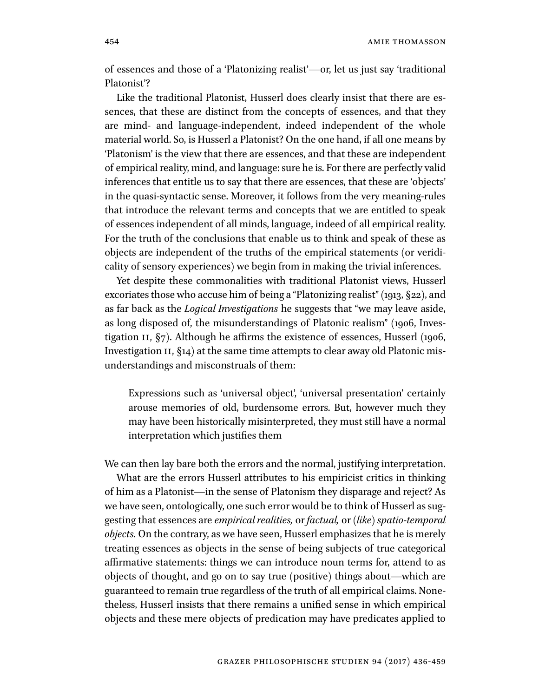of essences and those of a 'Platonizing realist'—or, let us just say 'traditional Platonist'?

Like the traditional Platonist, Husserl does clearly insist that there are essences, that these are distinct from the concepts of essences, and that they are mind- and language-independent, indeed independent of the whole material world. So, is Husserl a Platonist? On the one hand, if all one means by 'Platonism' is the view that there are essences, and that these are independent of empirical reality, mind, and language: sure he is. For there are perfectly valid inferences that entitle us to say that there are essences, that these are 'objects' in the quasi-syntactic sense. Moreover, it follows from the very meaning-rules that introduce the relevant terms and concepts that we are entitled to speak of essences independent of all minds, language, indeed of all empirical reality. For the truth of the conclusions that enable us to think and speak of these as objects are independent of the truths of the empirical statements (or veridicality of sensory experiences) we begin from in making the trivial inferences.

Yet despite these commonalities with traditional Platonist views, Husserl excoriates those who accuse him of being a "Platonizing realist" (1913, §22), and as far back as the *Logical Investigations* he suggests that "we may leave aside, as long disposed of, the misunderstandings of Platonic realism" (1906, Investigation II,  $\S$ 7). Although he affirms the existence of essences, Husserl (1906, Investigation II,  $\S$ 14) at the same time attempts to clear away old Platonic misunderstandings and misconstruals of them:

Expressions such as 'universal object', 'universal presentation' certainly arouse memories of old, burdensome errors. But, however much they may have been historically misinterpreted, they must still have a normal interpretation which justifies them

We can then lay bare both the errors and the normal, justifying interpretation. What are the errors Husserl attributes to his empiricist critics in thinking of him as a Platonist—in the sense of Platonism they disparage and reject? As we have seen, ontologically, one such error would be to think of Husserl as suggesting that essences are *empirical realities,* or *factual,* or *(like) spatio-temporal objects.* On the contrary, as we have seen, Husserl emphasizes that he is merely treating essences as objects in the sense of being subjects of true categorical affirmative statements: things we can introduce noun terms for, attend to as objects of thought, and go on to say true (positive) things about—which are guaranteed to remain true regardless of the truth of all empirical claims. Nonetheless, Husserl insists that there remains a unified sense in which empirical objects and these mere objects of predication may have predicates applied to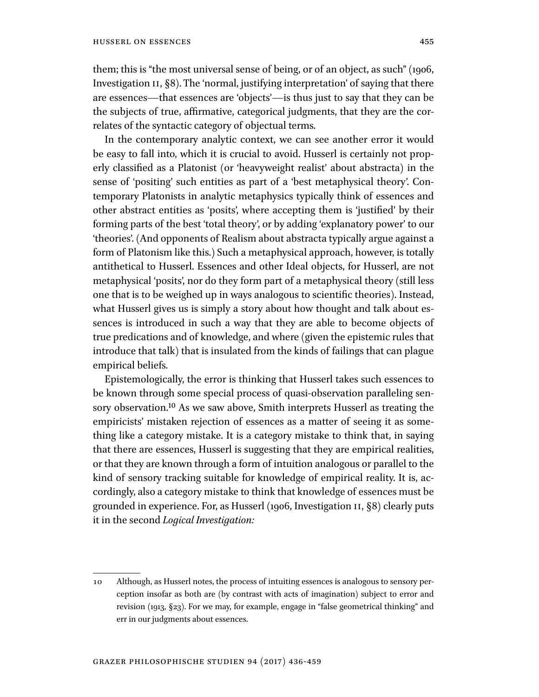them; this is "the most universal sense of being, or of an object, as such" (1906, Investigation II, §8). The 'normal, justifying interpretation' of saying that there are essences—that essences are 'objects'—is thus just to say that they can be the subjects of true, affirmative, categorical judgments, that they are the correlates of the syntactic category of objectual terms.

In the contemporary analytic context, we can see another error it would be easy to fall into, which it is crucial to avoid. Husserl is certainly not properly classified as a Platonist (or 'heavyweight realist' about abstracta) in the sense of 'positing' such entities as part of a 'best metaphysical theory'. Contemporary Platonists in analytic metaphysics typically think of essences and other abstract entities as 'posits', where accepting them is 'justified' by their forming parts of the best 'total theory', or by adding 'explanatory power' to our 'theories'. (And opponents of Realism about abstracta typically argue against a form of Platonism like this.) Such a metaphysical approach, however, is totally antithetical to Husserl. Essences and other Ideal objects, for Husserl, are not metaphysical 'posits', nor do they form part of a metaphysical theory (still less one that is to be weighed up in ways analogous to scientific theories). Instead, what Husserl gives us is simply a story about how thought and talk about essences is introduced in such a way that they are able to become objects of true predications and of knowledge, and where (given the epistemic rules that introduce that talk) that is insulated from the kinds of failings that can plague empirical beliefs.

Epistemologically, the error is thinking that Husserl takes such essences to be known through some special process of quasi-observation paralleling sensory observation.10 As we saw above, Smith interprets Husserl as treating the empiricists' mistaken rejection of essences as a matter of seeing it as something like a category mistake. It is a category mistake to think that, in saying that there are essences, Husserl is suggesting that they are empirical realities, or that they are known through a form of intuition analogous or parallel to the kind of sensory tracking suitable for knowledge of empirical reality. It is, accordingly, also a category mistake to think that knowledge of essences must be grounded in experience. For, as Husserl (1906, Investigation II, §8) clearly puts it in the second *Logical Investigation:*

<sup>10</sup> Although, as Husserl notes, the process of intuiting essences is analogous to sensory perception insofar as both are (by contrast with acts of imagination) subject to error and revision (1913, §23). For we may, for example, engage in "false geometrical thinking" and err in our judgments about essences.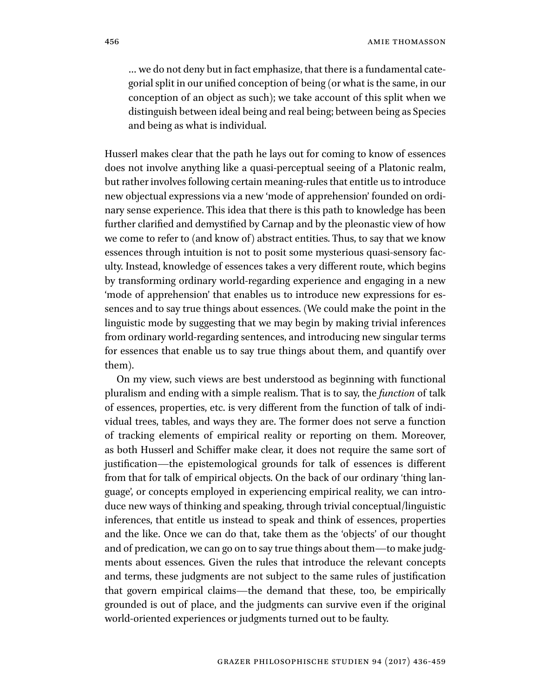… we do not deny but in fact emphasize, that there is a fundamental categorial split in our unified conception of being (or what is the same, in our conception of an object as such); we take account of this split when we distinguish between ideal being and real being; between being as Species and being as what is individual.

Husserl makes clear that the path he lays out for coming to know of essences does not involve anything like a quasi-perceptual seeing of a Platonic realm, but rather involves following certain meaning-rules that entitle us to introduce new objectual expressions via a new 'mode of apprehension' founded on ordinary sense experience. This idea that there is this path to knowledge has been further clarified and demystified by Carnap and by the pleonastic view of how we come to refer to (and know of) abstract entities. Thus, to say that we know essences through intuition is not to posit some mysterious quasi-sensory faculty. Instead, knowledge of essences takes a very different route, which begins by transforming ordinary world-regarding experience and engaging in a new 'mode of apprehension' that enables us to introduce new expressions for essences and to say true things about essences. (We could make the point in the linguistic mode by suggesting that we may begin by making trivial inferences from ordinary world-regarding sentences, and introducing new singular terms for essences that enable us to say true things about them, and quantify over them).

On my view, such views are best understood as beginning with functional pluralism and ending with a simple realism. That is to say, the *function* of talk of essences, properties, etc. is very different from the function of talk of individual trees, tables, and ways they are. The former does not serve a function of tracking elements of empirical reality or reporting on them. Moreover, as both Husserl and Schiffer make clear, it does not require the same sort of justification—the epistemological grounds for talk of essences is different from that for talk of empirical objects. On the back of our ordinary 'thing language', or concepts employed in experiencing empirical reality, we can introduce new ways of thinking and speaking, through trivial conceptual/linguistic inferences, that entitle us instead to speak and think of essences, properties and the like. Once we can do that, take them as the 'objects' of our thought and of predication, we can go on to say true things about them—to make judgments about essences. Given the rules that introduce the relevant concepts and terms, these judgments are not subject to the same rules of justification that govern empirical claims—the demand that these, too, be empirically grounded is out of place, and the judgments can survive even if the original world-oriented experiences or judgments turned out to be faulty.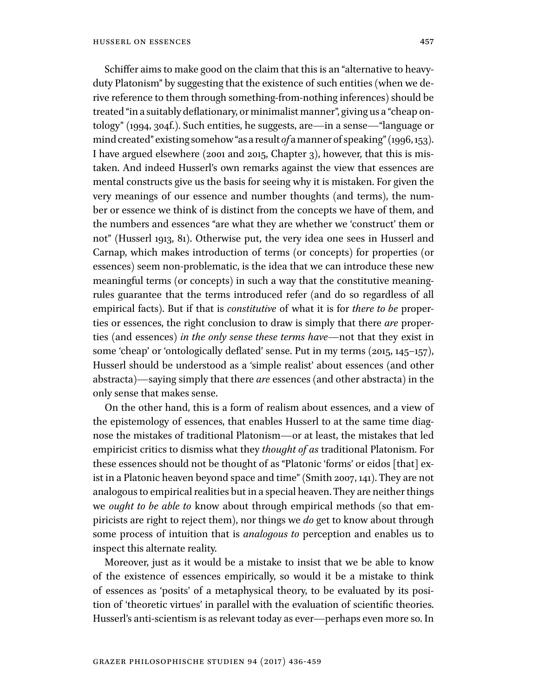Schiffer aims to make good on the claim that this is an "alternative to heavyduty Platonism" by suggesting that the existence of such entities (when we derive reference to them through something-from-nothing inferences) should be treated "in a suitably deflationary, or minimalist manner", giving us a "cheap ontology" (1994, 304f.). Such entities, he suggests, are—in a sense—"language or mind created" existing somehow "as a result *of* a manner of speaking" (1996, 153). I have argued elsewhere (2001 and 2015, Chapter 3), however, that this is mistaken. And indeed Husserl's own remarks against the view that essences are mental constructs give us the basis for seeing why it is mistaken. For given the very meanings of our essence and number thoughts (and terms), the number or essence we think of is distinct from the concepts we have of them, and the numbers and essences "are what they are whether we 'construct' them or not" (Husserl 1913, 81). Otherwise put, the very idea one sees in Husserl and Carnap, which makes introduction of terms (or concepts) for properties (or essences) seem non-problematic, is the idea that we can introduce these new meaningful terms (or concepts) in such a way that the constitutive meaningrules guarantee that the terms introduced refer (and do so regardless of all empirical facts). But if that is *constitutive* of what it is for *there to be* properties or essences, the right conclusion to draw is simply that there *are* properties (and essences) *in the only sense these terms have—*not that they exist in some 'cheap' or 'ontologically deflated' sense. Put in my terms (2015, 145–157), Husserl should be understood as a 'simple realist' about essences (and other abstracta)—saying simply that there *are* essences (and other abstracta) in the only sense that makes sense.

On the other hand, this is a form of realism about essences, and a view of the epistemology of essences, that enables Husserl to at the same time diagnose the mistakes of traditional Platonism—or at least, the mistakes that led empiricist critics to dismiss what they *thought of as* traditional Platonism. For these essences should not be thought of as "Platonic 'forms' or eidos [that] exist in a Platonic heaven beyond space and time" (Smith 2007, 141). They are not analogous to empirical realities but in a special heaven. They are neither things we *ought to be able to* know about through empirical methods (so that empiricists are right to reject them), nor things we *do* get to know about through some process of intuition that is *analogous to* perception and enables us to inspect this alternate reality.

Moreover, just as it would be a mistake to insist that we be able to know of the existence of essences empirically, so would it be a mistake to think of essences as 'posits' of a metaphysical theory, to be evaluated by its position of 'theoretic virtues' in parallel with the evaluation of scientific theories. Husserl's anti-scientism is as relevant today as ever—perhaps even more so. In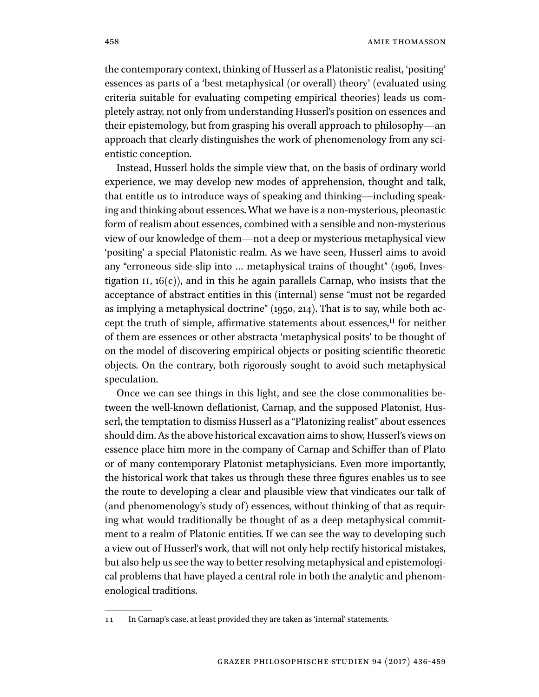the contemporary context, thinking of Husserl as a Platonistic realist, 'positing' essences as parts of a 'best metaphysical (or overall) theory' (evaluated using criteria suitable for evaluating competing empirical theories) leads us completely astray, not only from understanding Husserl's position on essences and their epistemology, but from grasping his overall approach to philosophy—an approach that clearly distinguishes the work of phenomenology from any scientistic conception.

Instead, Husserl holds the simple view that, on the basis of ordinary world experience, we may develop new modes of apprehension, thought and talk, that entitle us to introduce ways of speaking and thinking—including speaking and thinking about essences. What we have is a non-mysterious, pleonastic form of realism about essences, combined with a sensible and non-mysterious view of our knowledge of them—not a deep or mysterious metaphysical view 'positing' a special Platonistic realm. As we have seen, Husserl aims to avoid any "erroneous side-slip into … metaphysical trains of thought" (1906, Investigation II,  $16(c)$ , and in this he again parallels Carnap, who insists that the acceptance of abstract entities in this (internal) sense "must not be regarded as implying a metaphysical doctrine" (1950, 214). That is to say, while both accept the truth of simple, affirmative statements about essences, $<sup>11</sup>$  for neither</sup> of them are essences or other abstracta 'metaphysical posits' to be thought of on the model of discovering empirical objects or positing scientific theoretic objects. On the contrary, both rigorously sought to avoid such metaphysical speculation.

Once we can see things in this light, and see the close commonalities between the well-known deflationist, Carnap, and the supposed Platonist, Husserl, the temptation to dismiss Husserl as a "Platonizing realist" about essences should dim. As the above historical excavation aims to show, Husserl's views on essence place him more in the company of Carnap and Schiffer than of Plato or of many contemporary Platonist metaphysicians. Even more importantly, the historical work that takes us through these three figures enables us to see the route to developing a clear and plausible view that vindicates our talk of (and phenomenology's study of) essences, without thinking of that as requiring what would traditionally be thought of as a deep metaphysical commitment to a realm of Platonic entities. If we can see the way to developing such a view out of Husserl's work, that will not only help rectify historical mistakes, but also help us see the way to better resolving metaphysical and epistemological problems that have played a central role in both the analytic and phenomenological traditions.

<sup>11</sup> In Carnap's case, at least provided they are taken as 'internal' statements.